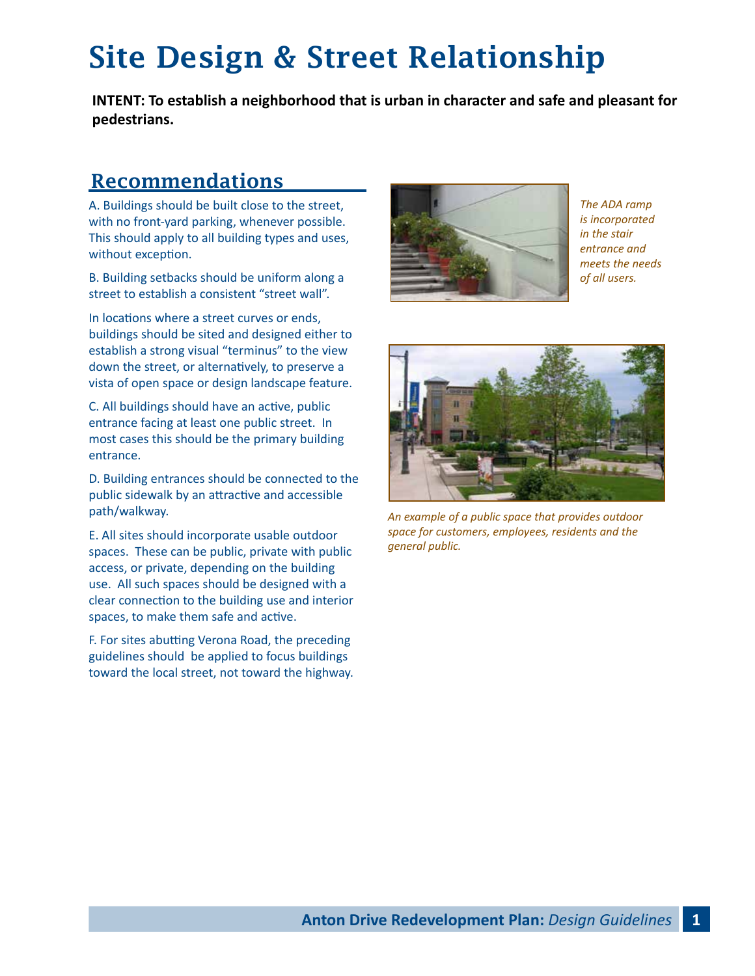## Site Design & Street Relationship

**INTENT: To establish a neighborhood that is urban in character and safe and pleasant for pedestrians.**

### **Recommendations**

A. Buildings should be built close to the street, with no front-yard parking, whenever possible. This should apply to all building types and uses, without exception.

B. Building setbacks should be uniform along a street to establish a consistent "street wall".

In locations where a street curves or ends, buildings should be sited and designed either to establish a strong visual "terminus" to the view down the street, or alternatively, to preserve a vista of open space or design landscape feature.

C. All buildings should have an active, public entrance facing at least one public street. In most cases this should be the primary building entrance.

D. Building entrances should be connected to the public sidewalk by an attractive and accessible path/walkway.

E. All sites should incorporate usable outdoor spaces. These can be public, private with public access, or private, depending on the building use. All such spaces should be designed with a clear connection to the building use and interior spaces, to make them safe and active.

F. For sites abutting Verona Road, the preceding guidelines should be applied to focus buildings toward the local street, not toward the highway.



*The ADA ramp is incorporated in the stair entrance and meets the needs of all users.*



*An example of a public space that provides outdoor space for customers, employees, residents and the general public.*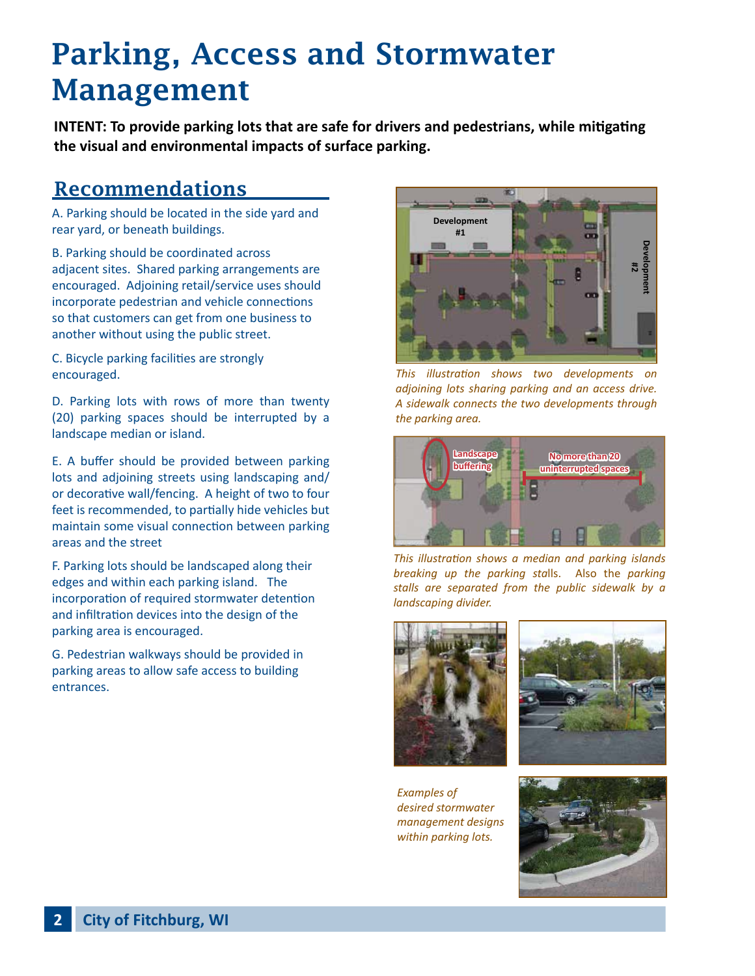## Parking, Access and Stormwater Management

**INTENT: To provide parking lots that are safe for drivers and pedestrians, while mitigating the visual and environmental impacts of surface parking.**

#### **Recommendations**

A. Parking should be located in the side yard and rear yard, or beneath buildings.

B. Parking should be coordinated across adjacent sites. Shared parking arrangements are encouraged. Adjoining retail/service uses should incorporate pedestrian and vehicle connections so that customers can get from one business to another without using the public street.

C. Bicycle parking facilities are strongly encouraged.

D. Parking lots with rows of more than twenty (20) parking spaces should be interrupted by a landscape median or island.

E. A buffer should be provided between parking lots and adjoining streets using landscaping and/ or decorative wall/fencing. A height of two to four feet is recommended, to partially hide vehicles but maintain some visual connection between parking areas and the street

F. Parking lots should be landscaped along their edges and within each parking island. The incorporation of required stormwater detention and infiltration devices into the design of the parking area is encouraged.

G. Pedestrian walkways should be provided in parking areas to allow safe access to building entrances.



*This illustration shows two developments on adjoining lots sharing parking and an access drive. A sidewalk connects the two developments through the parking area.*



*This illustration shows a median and parking islands breaking up the parking sta*lls. Also the *parking stalls are separated from the public sidewalk by a landscaping divider.*





*Examples of desired stormwater management designs within parking lots.*

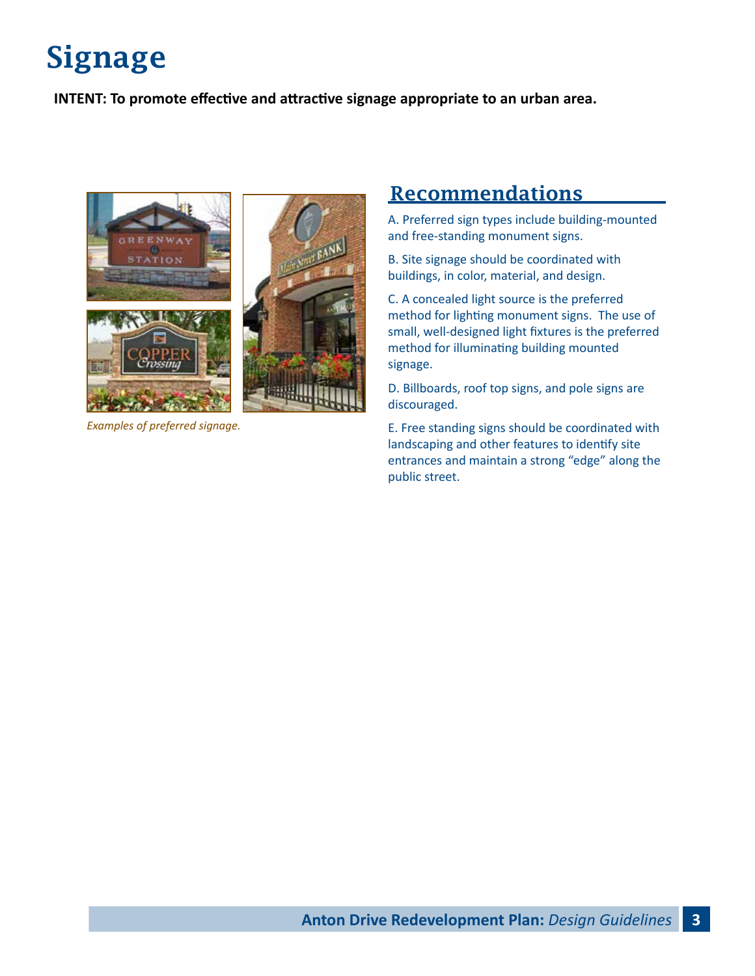# Signage

**INTENT: To promote effective and attractive signage appropriate to an urban area.**



*Examples of preferred signage.* 

### Recommendations

A. Preferred sign types include building-mounted and free-standing monument signs.

B. Site signage should be coordinated with buildings, in color, material, and design.

C. A concealed light source is the preferred method for lighting monument signs. The use of small, well-designed light fixtures is the preferred method for illuminating building mounted signage.

D. Billboards, roof top signs, and pole signs are discouraged.

E. Free standing signs should be coordinated with landscaping and other features to identify site entrances and maintain a strong "edge" along the public street.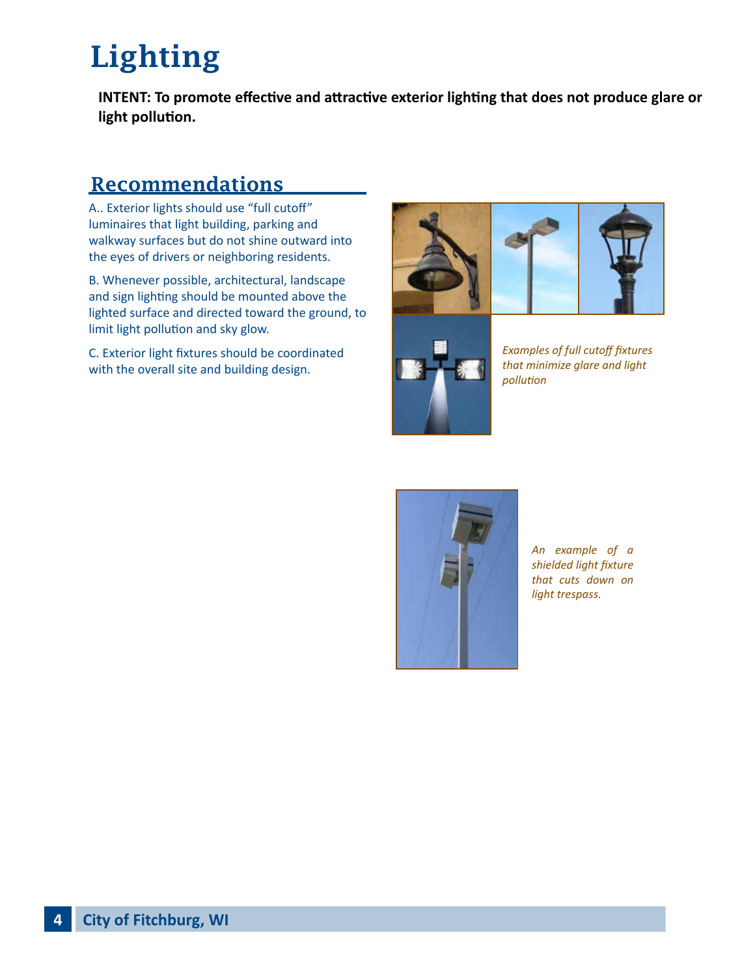# Lighting

**INTENT: To promote effective and attractive exterior lighting that does not produce glare or light pollution.**

### Recommendations

A.. Exterior lights should use "full cutoff" luminaires that light building, parking and walkway surfaces but do not shine outward into the eyes of drivers or neighboring residents.

B. Whenever possible, architectural, landscape and sign lighting should be mounted above the lighted surface and directed toward the ground, to limit light pollution and sky glow.

C. Exterior light fixtures should be coordinated with the overall site and building design.





*Examples of full cutoff fixtures that minimize glare and light pollution*



*An example of a shielded light fixture that cuts down on light trespass.*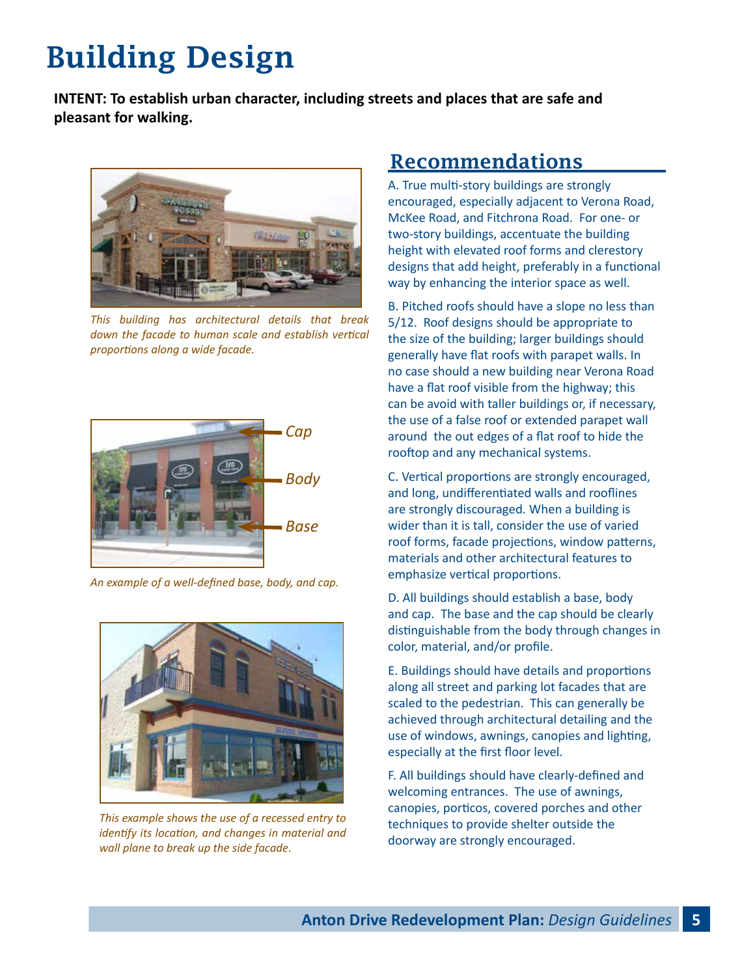## Building Design

**INTENT: To establish urban character, including streets and places that are safe and pleasant for walking.**



*This building has architectural details that break down the facade to human scale and establish vertical proportions along a wide facade.* 



*An example of a well-defined base, body, and cap.*



*This example shows the use of a recessed entry to identify its location, and changes in material and wall plane to break up the side facade.*

#### Recommendations

A. True multi-story buildings are strongly encouraged, especially adjacent to Verona Road, McKee Road, and Fitchrona Road. For one- or two-story buildings, accentuate the building height with elevated roof forms and clerestory designs that add height, preferably in a functional way by enhancing the interior space as well.

B. Pitched roofs should have a slope no less than 5/12. Roof designs should be appropriate to the size of the building; larger buildings should generally have flat roofs with parapet walls. In no case should a new building near Verona Road have a flat roof visible from the highway; this can be avoid with taller buildings or, if necessary, the use of a false roof or extended parapet wall around the out edges of a flat roof to hide the rooftop and any mechanical systems.

C. Vertical proportions are strongly encouraged, and long, undifferentiated walls and rooflines are strongly discouraged. When a building is wider than it is tall, consider the use of varied roof forms, facade projections, window patterns, materials and other architectural features to emphasize vertical proportions.

D. All buildings should establish a base, body and cap. The base and the cap should be clearly distinguishable from the body through changes in color, material, and/or profile.

E. Buildings should have details and proportions along all street and parking lot facades that are scaled to the pedestrian. This can generally be achieved through architectural detailing and the use of windows, awnings, canopies and lighting, especially at the first floor level.

F. All buildings should have clearly-defined and welcoming entrances. The use of awnings, canopies, porticos, covered porches and other techniques to provide shelter outside the doorway are strongly encouraged.